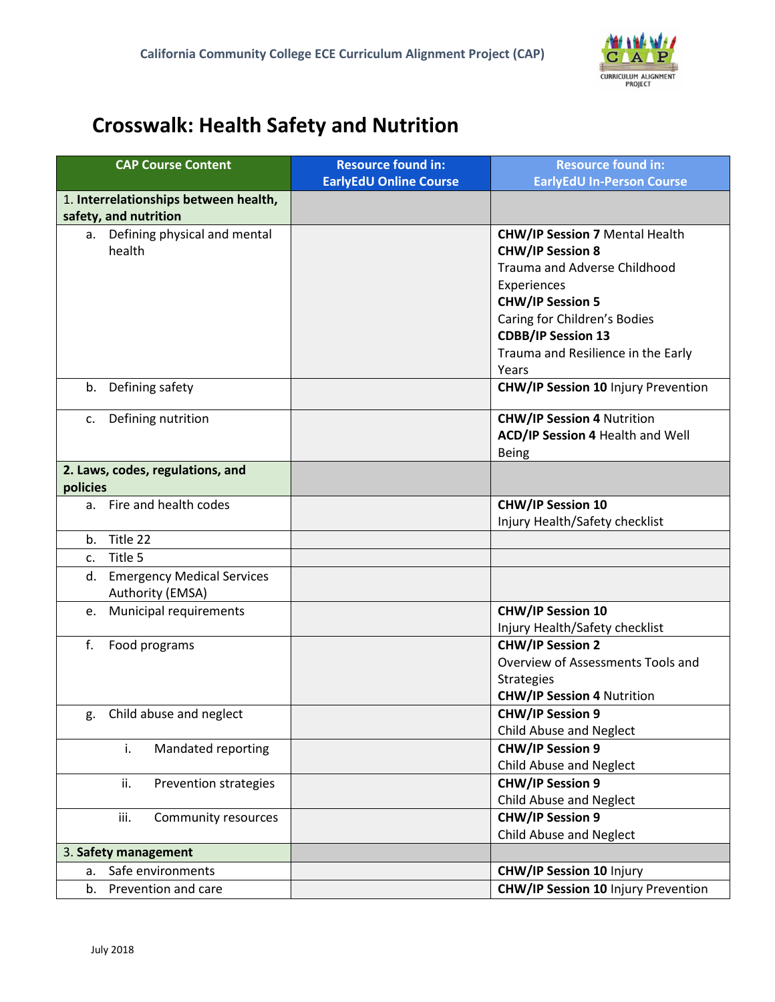

## **Crosswalk: Health Safety and Nutrition**

|                                  | <b>CAP Course Content</b>             | <b>Resource found in:</b>     | <b>Resource found in:</b>                  |  |
|----------------------------------|---------------------------------------|-------------------------------|--------------------------------------------|--|
|                                  |                                       | <b>EarlyEdU Online Course</b> | <b>EarlyEdU In-Person Course</b>           |  |
|                                  | 1. Interrelationships between health, |                               |                                            |  |
|                                  | safety, and nutrition                 |                               |                                            |  |
|                                  | a. Defining physical and mental       |                               | <b>CHW/IP Session 7 Mental Health</b>      |  |
|                                  | health                                |                               | <b>CHW/IP Session 8</b>                    |  |
|                                  |                                       |                               | Trauma and Adverse Childhood               |  |
|                                  |                                       |                               | Experiences                                |  |
|                                  |                                       |                               | <b>CHW/IP Session 5</b>                    |  |
|                                  |                                       |                               | Caring for Children's Bodies               |  |
|                                  |                                       |                               | <b>CDBB/IP Session 13</b>                  |  |
|                                  |                                       |                               | Trauma and Resilience in the Early         |  |
|                                  |                                       |                               | Years                                      |  |
| b.                               | Defining safety                       |                               | <b>CHW/IP Session 10 Injury Prevention</b> |  |
| c.                               | Defining nutrition                    |                               | <b>CHW/IP Session 4 Nutrition</b>          |  |
|                                  |                                       |                               | ACD/IP Session 4 Health and Well           |  |
|                                  |                                       |                               | <b>Being</b>                               |  |
| 2. Laws, codes, regulations, and |                                       |                               |                                            |  |
| policies                         |                                       |                               |                                            |  |
|                                  | a. Fire and health codes              |                               | <b>CHW/IP Session 10</b>                   |  |
|                                  |                                       |                               | Injury Health/Safety checklist             |  |
| b.                               | Title 22                              |                               |                                            |  |
| c.                               | Title 5                               |                               |                                            |  |
| d.                               | <b>Emergency Medical Services</b>     |                               |                                            |  |
|                                  | Authority (EMSA)                      |                               |                                            |  |
| e.                               | Municipal requirements                |                               | <b>CHW/IP Session 10</b>                   |  |
|                                  |                                       |                               | Injury Health/Safety checklist             |  |
| f.                               | Food programs                         |                               | <b>CHW/IP Session 2</b>                    |  |
|                                  |                                       |                               | Overview of Assessments Tools and          |  |
|                                  |                                       |                               | <b>Strategies</b>                          |  |
|                                  |                                       |                               | <b>CHW/IP Session 4 Nutrition</b>          |  |
| g.                               | Child abuse and neglect               |                               | <b>CHW/IP Session 9</b>                    |  |
|                                  |                                       |                               | Child Abuse and Neglect                    |  |
|                                  | i.<br>Mandated reporting              |                               | <b>CHW/IP Session 9</b>                    |  |
|                                  |                                       |                               | Child Abuse and Neglect                    |  |
|                                  | ii.<br>Prevention strategies          |                               | <b>CHW/IP Session 9</b>                    |  |
|                                  |                                       |                               | <b>Child Abuse and Neglect</b>             |  |
|                                  | iii.<br>Community resources           |                               | <b>CHW/IP Session 9</b>                    |  |
|                                  |                                       |                               | Child Abuse and Neglect                    |  |
|                                  | 3. Safety management                  |                               |                                            |  |
| a.                               | Safe environments                     |                               | <b>CHW/IP Session 10 Injury</b>            |  |
| b.                               | Prevention and care                   |                               | <b>CHW/IP Session 10 Injury Prevention</b> |  |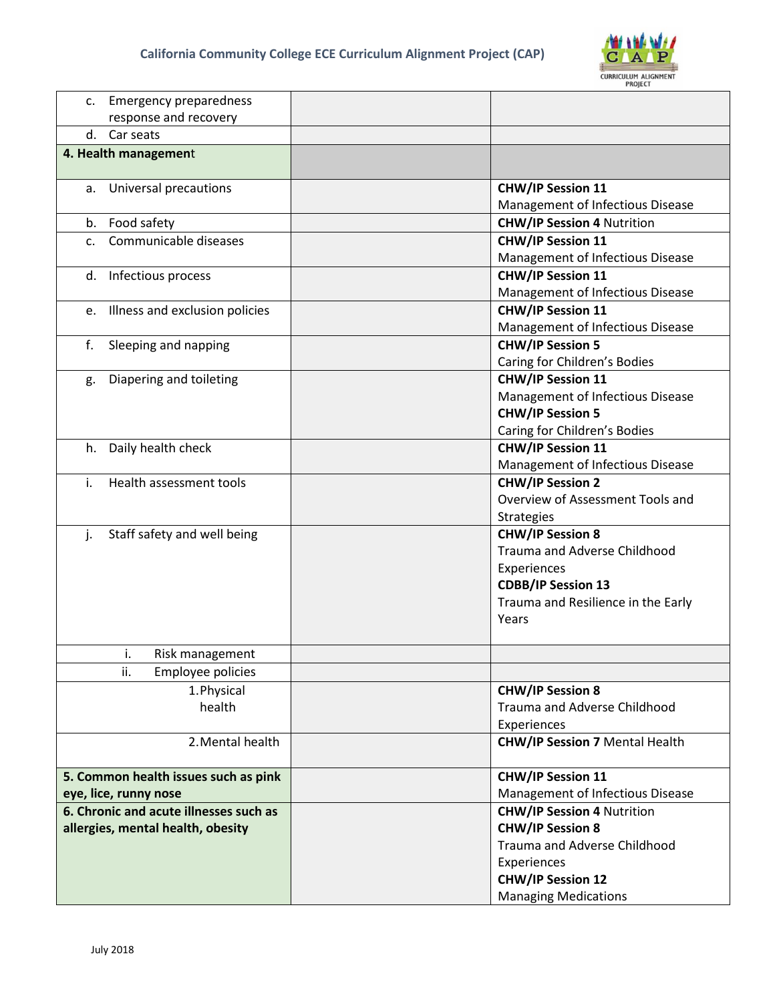

|                             | c. Emergency preparedness              |                                                              |  |  |  |
|-----------------------------|----------------------------------------|--------------------------------------------------------------|--|--|--|
|                             | response and recovery                  |                                                              |  |  |  |
|                             | Car seats<br>d.                        |                                                              |  |  |  |
|                             | 4. Health management                   |                                                              |  |  |  |
|                             | a. Universal precautions               | <b>CHW/IP Session 11</b><br>Management of Infectious Disease |  |  |  |
|                             | b. Food safety                         | <b>CHW/IP Session 4 Nutrition</b>                            |  |  |  |
| Communicable diseases<br>C. |                                        | <b>CHW/IP Session 11</b>                                     |  |  |  |
|                             |                                        | Management of Infectious Disease                             |  |  |  |
|                             | d. Infectious process                  | <b>CHW/IP Session 11</b>                                     |  |  |  |
|                             |                                        | Management of Infectious Disease                             |  |  |  |
|                             | e. Illness and exclusion policies      | <b>CHW/IP Session 11</b>                                     |  |  |  |
|                             |                                        | Management of Infectious Disease                             |  |  |  |
| f.                          | Sleeping and napping                   | <b>CHW/IP Session 5</b>                                      |  |  |  |
|                             |                                        | Caring for Children's Bodies                                 |  |  |  |
| g.                          | Diapering and toileting                | <b>CHW/IP Session 11</b>                                     |  |  |  |
|                             |                                        | Management of Infectious Disease                             |  |  |  |
|                             |                                        | <b>CHW/IP Session 5</b>                                      |  |  |  |
|                             |                                        | Caring for Children's Bodies                                 |  |  |  |
|                             | h. Daily health check                  | <b>CHW/IP Session 11</b>                                     |  |  |  |
|                             |                                        | Management of Infectious Disease                             |  |  |  |
| i.                          | Health assessment tools                | <b>CHW/IP Session 2</b>                                      |  |  |  |
|                             |                                        | Overview of Assessment Tools and                             |  |  |  |
|                             |                                        | <b>Strategies</b>                                            |  |  |  |
| j.                          | Staff safety and well being            | <b>CHW/IP Session 8</b>                                      |  |  |  |
|                             |                                        | <b>Trauma and Adverse Childhood</b>                          |  |  |  |
|                             |                                        | Experiences                                                  |  |  |  |
|                             |                                        | <b>CDBB/IP Session 13</b>                                    |  |  |  |
|                             |                                        | Trauma and Resilience in the Early                           |  |  |  |
|                             |                                        | Years                                                        |  |  |  |
|                             |                                        |                                                              |  |  |  |
|                             | i.<br>Risk management                  |                                                              |  |  |  |
|                             | ii.<br>Employee policies               |                                                              |  |  |  |
|                             | 1. Physical                            | <b>CHW/IP Session 8</b>                                      |  |  |  |
|                             | health                                 | Trauma and Adverse Childhood                                 |  |  |  |
|                             |                                        | Experiences                                                  |  |  |  |
|                             | 2. Mental health                       | <b>CHW/IP Session 7 Mental Health</b>                        |  |  |  |
|                             | 5. Common health issues such as pink   | <b>CHW/IP Session 11</b>                                     |  |  |  |
|                             | eye, lice, runny nose                  | Management of Infectious Disease                             |  |  |  |
|                             | 6. Chronic and acute illnesses such as | <b>CHW/IP Session 4 Nutrition</b>                            |  |  |  |
|                             | allergies, mental health, obesity      | <b>CHW/IP Session 8</b>                                      |  |  |  |
|                             |                                        | Trauma and Adverse Childhood                                 |  |  |  |
|                             |                                        | Experiences                                                  |  |  |  |
|                             |                                        | <b>CHW/IP Session 12</b>                                     |  |  |  |
|                             |                                        | <b>Managing Medications</b>                                  |  |  |  |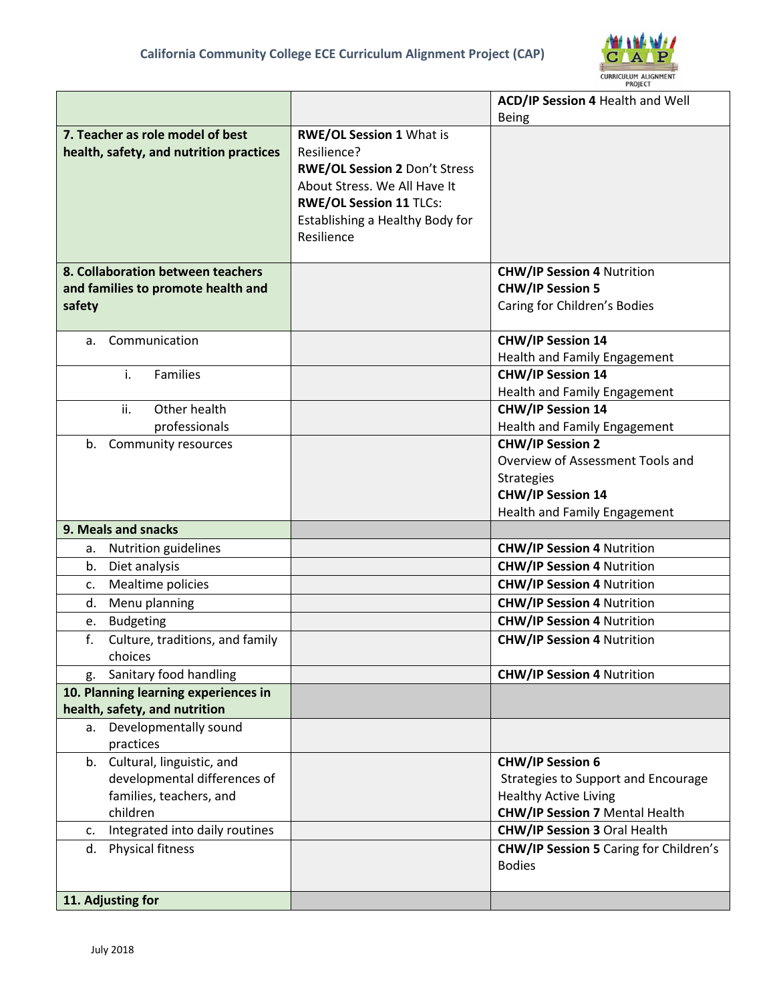

|                                                                             |                                                                                                                                                                                                    | ACD/IP Session 4 Health and Well                             |
|-----------------------------------------------------------------------------|----------------------------------------------------------------------------------------------------------------------------------------------------------------------------------------------------|--------------------------------------------------------------|
|                                                                             |                                                                                                                                                                                                    | <b>Being</b>                                                 |
| 7. Teacher as role model of best<br>health, safety, and nutrition practices | <b>RWE/OL Session 1 What is</b><br>Resilience?<br>RWE/OL Session 2 Don't Stress<br>About Stress. We All Have It<br><b>RWE/OL Session 11 TLCs:</b><br>Establishing a Healthy Body for<br>Resilience |                                                              |
| 8. Collaboration between teachers<br>and families to promote health and     |                                                                                                                                                                                                    | <b>CHW/IP Session 4 Nutrition</b><br><b>CHW/IP Session 5</b> |
| safety                                                                      |                                                                                                                                                                                                    | Caring for Children's Bodies                                 |
|                                                                             |                                                                                                                                                                                                    |                                                              |
| Communication<br>a.                                                         |                                                                                                                                                                                                    | <b>CHW/IP Session 14</b>                                     |
|                                                                             |                                                                                                                                                                                                    | Health and Family Engagement                                 |
| Families<br>i.                                                              |                                                                                                                                                                                                    | <b>CHW/IP Session 14</b>                                     |
|                                                                             |                                                                                                                                                                                                    | Health and Family Engagement                                 |
| Other health<br>ii.                                                         |                                                                                                                                                                                                    | <b>CHW/IP Session 14</b>                                     |
| professionals                                                               |                                                                                                                                                                                                    | Health and Family Engagement                                 |
| b. Community resources                                                      |                                                                                                                                                                                                    | <b>CHW/IP Session 2</b>                                      |
|                                                                             |                                                                                                                                                                                                    | Overview of Assessment Tools and                             |
|                                                                             |                                                                                                                                                                                                    | <b>Strategies</b>                                            |
|                                                                             |                                                                                                                                                                                                    | <b>CHW/IP Session 14</b>                                     |
|                                                                             |                                                                                                                                                                                                    | Health and Family Engagement                                 |
| 9. Meals and snacks                                                         |                                                                                                                                                                                                    |                                                              |
| Nutrition guidelines<br>а.                                                  |                                                                                                                                                                                                    | <b>CHW/IP Session 4 Nutrition</b>                            |
| Diet analysis<br>b.                                                         |                                                                                                                                                                                                    | <b>CHW/IP Session 4 Nutrition</b>                            |
| Mealtime policies<br>c.                                                     |                                                                                                                                                                                                    | <b>CHW/IP Session 4 Nutrition</b>                            |
| Menu planning<br>d.                                                         |                                                                                                                                                                                                    | <b>CHW/IP Session 4 Nutrition</b>                            |
| <b>Budgeting</b><br>e.                                                      |                                                                                                                                                                                                    | <b>CHW/IP Session 4 Nutrition</b>                            |
| f.<br>Culture, traditions, and family                                       |                                                                                                                                                                                                    | <b>CHW/IP Session 4 Nutrition</b>                            |
| choices<br>Sanitary food handling<br>g.                                     |                                                                                                                                                                                                    | <b>CHW/IP Session 4 Nutrition</b>                            |
| 10. Planning learning experiences in                                        |                                                                                                                                                                                                    |                                                              |
| health, safety, and nutrition                                               |                                                                                                                                                                                                    |                                                              |
| a. Developmentally sound                                                    |                                                                                                                                                                                                    |                                                              |
| practices                                                                   |                                                                                                                                                                                                    |                                                              |
| b. Cultural, linguistic, and                                                |                                                                                                                                                                                                    | <b>CHW/IP Session 6</b>                                      |
| developmental differences of                                                |                                                                                                                                                                                                    | <b>Strategies to Support and Encourage</b>                   |
| families, teachers, and                                                     |                                                                                                                                                                                                    | <b>Healthy Active Living</b>                                 |
| children                                                                    |                                                                                                                                                                                                    | <b>CHW/IP Session 7 Mental Health</b>                        |
| Integrated into daily routines<br>c.                                        |                                                                                                                                                                                                    | <b>CHW/IP Session 3 Oral Health</b>                          |
| Physical fitness<br>d.                                                      |                                                                                                                                                                                                    | CHW/IP Session 5 Caring for Children's<br><b>Bodies</b>      |
| 11. Adjusting for                                                           |                                                                                                                                                                                                    |                                                              |